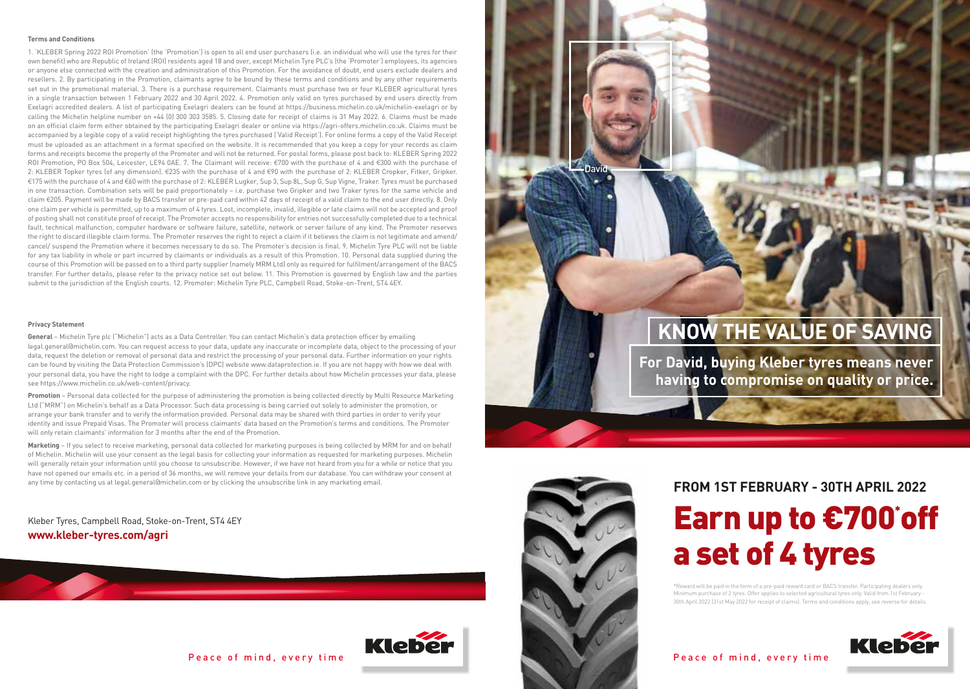#### **Terms and Conditions**

1. 'KLEBER Spring 2022 ROI Promotion' (the 'Promotion') is open to all end user purchasers (i.e. an individual who will use the tyres for their own benefit) who are Republic of Ireland (ROI) residents aged 18 and over, except Michelin Tyre PLC's (the 'Promoter') employees, its agencies or anyone else connected with the creation and administration of this Promotion. For the avoidance of doubt, end users exclude dealers and resellers. 2. By participating in the Promotion, claimants agree to be bound by these terms and conditions and by any other requirements set out in the promotional material. 3. There is a purchase requirement. Claimants must purchase two or four KLEBER agricultural tyres in a single transaction between 1 February 2022 and 30 April 2022. 4. Promotion only valid on tyres purchased by end users directly from Exelagri accredited dealers. A list of participating Exelagri dealers can be found at https://business.michelin.co.uk/michelin-exelagri or by calling the Michelin helpline number on +44 (0) 300 303 3585. 5. Closing date for receipt of claims is 31 May 2022. 6. Claims must be made on an official claim form either obtained by the participating Exelagri dealer or online via https://agri-offers.michelin.co.uk. Claims must be accompanied by a legible copy of a valid receipt highlighting the tyres purchased ('Valid Receipt'). For online forms a copy of the Valid Receipt must be uploaded as an attachment in a format specified on the website. It is recommended that you keep a copy for your records as claim forms and receipts become the property of the Promoter and will not be returned. For postal forms, please post back to: KLEBER Spring 2022 ROI Promotion, PO Box 504, Leicester, LE94 0AE. 7. The Claimant will receive: €700 with the purchase of 4 and €300 with the purchase of 2: KLEBER Topker tyres (of any dimension). €235 with the purchase of 4 and €90 with the purchase of 2: KLEBER Cropker, Fitker, Gripker. €175 with the purchase of 4 and €60 with the purchase of 2: KLEBER Lugker, Sup 3, Sup 8L, Sup G, Sup Vigne, Traker. Tyres must be purchased in one transaction. Combination sets will be paid proportionately – i.e. purchase two Gripker and two Traker tyres for the same vehicle and claim €205. Payment will be made by BACS transfer or pre-paid card within 42 days of receipt of a valid claim to the end user directly. 8. Only one claim per vehicle is permitted, up to a maximum of 4 tyres. Lost, incomplete, invalid, illegible or late claims will not be accepted and proof of posting shall not constitute proof of receipt. The Promoter accepts no responsibility for entries not successfully completed due to a technical fault, technical malfunction, computer hardware or software failure, satellite, network or server failure of any kind. The Promoter reserves the right to discard illegible claim forms. The Promoter reserves the right to reject a claim if it believes the claim is not legitimate and amend/ cancel/ suspend the Promotion where it becomes necessary to do so. The Promoter's decision is final. 9. Michelin Tyre PLC will not be liable for any tax liability in whole or part incurred by claimants or individuals as a result of this Promotion. 10. Personal data supplied during the course of this Promotion will be passed on to a third party supplier (namely MRM Ltd) only as required for fulfilment/arrangement of the BACS transfer. For further details, please refer to the privacy notice set out below. 11. This Promotion is governed by English law and the parties submit to the jurisdiction of the English courts. 12. Promoter: Michelin Tyre PLC, Campbell Road, Stoke-on-Trent, ST4 4EY.

**General** – Michelin Tyre plc ("Michelin") acts as a Data Controller. You can contact Michelin's data protection officer by emailing legal.general@michelin.com. You can request access to your data, update any inaccurate or incomplete data, object to the processing of your data, request the deletion or removal of personal data and restrict the processing of your personal data. Further information on your rights can be found by visiting the Data Protection Commission's (DPC) website www.dataprotection.ie. If you are not happy with how we deal with your personal data, you have the right to lodge a complaint with the DPC. For further details about how Michelin processes your data, please see https://www.michelin.co.uk/web-content/privacy.

**Promotion** – Personal data collected for the purpose of administering the promotion is being collected directly by Multi Resource Marketing Ltd ("MRM") on Michelin's behalf as a Data Processor. Such data processing is being carried out solely to administer the promotion, or arrange your bank transfer and to verify the information provided. Personal data may be shared with third parties in order to verify your identity and issue Prepaid Visas. The Promoter will process claimants' data based on the Promotion's terms and conditions. The Promoter will only retain claimants' information for 3 months after the end of the Promotion.

**Marketing** – If you select to receive marketing, personal data collected for marketing purposes is being collected by MRM for and on behalf of Michelin. Michelin will use your consent as the legal basis for collecting your information as requested for marketing purposes. Michelin will generally retain your information until you choose to unsubscribe. However, if we have not heard from you for a while or notice that you have not opened our emails etc. in a period of 36 months, we will remove your details from our database. You can withdraw your consent at any time by contacting us at legal.general@michelin.com or by clicking the unsubscribe link in any marketing email.

Kleber Tyres, Campbell Road, Stoke-on-Trent, ST4 4EY **www.kleber-tyres.com/agri**



#### Peace of mind, every time Peace of mind, every time



## Privacy Statement<br>General – Michelin Tyre plc ("Michelin") acts as a Data Controller. You can contact Michelin's data protection officer by emailing<br>**Exampled and the supplement of the VALUE OF SAVING**

**For David, buying Kleber tyres means never having to compromise on quality or price.**



David

#### **FROM 1ST FEBRUARY - 30TH APRIL 2022**

# Earn up to €700' off a set of 4 tyres

\*Reward will be paid in the form of a pre-paid reward card or BACS transfer. Participating dealers only. Minimum purchase of 2 tyres. Offer applies to selected agricultural tyres only. Valid from 1st February - 30th April 2022 (31st May 2022 for receipt of claims). Terms and conditions apply, see reverse for details.